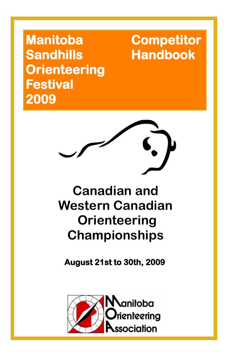**Manitoba Competitor Sandhills Handbook Orienteering Festival 2009** 

# **Canadian and Western Canadian Orienteering Championships**

**August 21st to 30th, 2009**

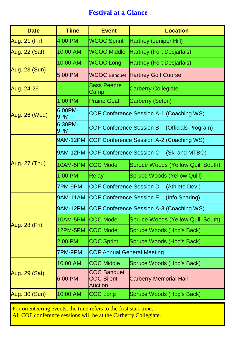### **Festival at a Glance**

| <b>Date</b>   | <b>Time</b>     | <b>Event</b>                                              | <b>Location</b>                          |  |
|---------------|-----------------|-----------------------------------------------------------|------------------------------------------|--|
| Aug. 21 (Fri) | 4:00 PM         | <b>WCOC Sprint</b>                                        | Hartney (Juniper Hill)                   |  |
| Aug. 22 (Sat) | 10:00 AM        | <b>WCOC Middle</b>                                        | <b>Hartney (Fort Desjarlais)</b>         |  |
|               | 10:00 AM        | <b>WCOC Long</b>                                          | Hartney (Fort Desjarlais)                |  |
| Aug. 23 (Sun) | 5:00 PM         | <b>WCOC Banquet</b>                                       | <b>Hartney Golf Course</b>               |  |
| Aug. 24-26    |                 | Sass Peepre<br>Camp                                       | <b>Carberry Collegiate</b>               |  |
|               | 1:00 PM         | <b>Prairie Goat</b>                                       | Carberry (Seton)                         |  |
| Aug. 26 (Wed) | 6:00PM-<br>9PM  | COF Conference Session A-1 (Coaching WS)                  |                                          |  |
|               | 6:30PM-<br>9PM  | <b>COF Conference Session B</b>                           | (Officials Program)                      |  |
|               | 9AM-12PM        |                                                           | COF Conference Session A-2 (Coaching WS) |  |
|               | 9AM-12PM        | <b>COF Conference Session C</b><br>(Ski and MTBO)         |                                          |  |
| Aug. 27 (Thu) | 10AM-5PM        | <b>COC Model</b>                                          | Spruce Woods (Yellow Quill South)        |  |
|               | 1:00 PM         | Relay                                                     | Spruce Woods (Yellow Quill)              |  |
|               | 7PM-9PM         | <b>COF Conference Session D</b><br>(Athlete Dev.)         |                                          |  |
|               | 9AM-11AM        | <b>COF Conference Session E</b><br>(Info Sharing)         |                                          |  |
|               | 9AM-12PM        | COF Conference Session A-3 (Coaching WS)                  |                                          |  |
|               | <b>10AM-5PM</b> | <b>COC Model</b>                                          | Spruce Woods (Yellow Quill South)        |  |
| Aug. 28 (Fri) | 12PM-5PM        | <b>COC Model</b>                                          | Spruce Woods (Hog's Back)                |  |
|               | 2:00 PM         | <b>COC Sprint</b>                                         | Spruce Woods (Hog's Back)                |  |
|               | 7PM-9PM         | <b>COF Annual General Meeting</b>                         |                                          |  |
| Aug. 29 (Sat) | 10:00 AM        | <b>COC Middle</b>                                         | Spruce Woods (Hog's Back)                |  |
|               | 6:00 PM         | <b>COC Banquet</b><br><b>COC Silent</b><br><b>Auction</b> | <b>Carberry Memorial Hall</b>            |  |
| Aug. 30 (Sun) | 10:00 AM        | <b>COC Long</b>                                           | Spruce Woods (Hog's Back)                |  |

For orienteering events, the time refers to the first start time.

All COF conference sessions will be at the Carberry Collegiate.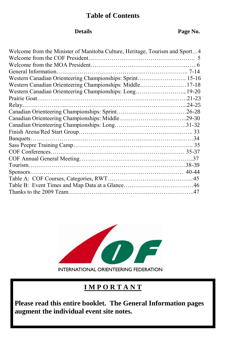#### **Table of Contents**

#### **Details Page No.**

| Welcome from the Minister of Manitoba Culture, Heritage, Tourism and Sport4 |
|-----------------------------------------------------------------------------|
|                                                                             |
|                                                                             |
|                                                                             |
| Western Canadian Orienteering Championships: Sprint 15-16                   |
| Western Canadian Orienteering Championships: Middle17-18                    |
| Western Canadian Orienteering Championships: Long19-20                      |
|                                                                             |
|                                                                             |
|                                                                             |
|                                                                             |
|                                                                             |
|                                                                             |
|                                                                             |
|                                                                             |
|                                                                             |
|                                                                             |
|                                                                             |
|                                                                             |
|                                                                             |
|                                                                             |
|                                                                             |
|                                                                             |



#### **I M P O R T A N T**

**Please read this entire booklet. The General Information pages augment the individual event site notes.**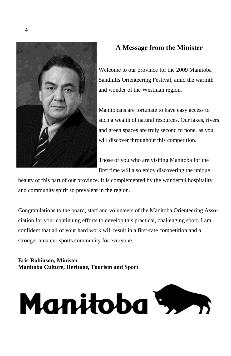

#### **A Message from the Minister**

Welcome to our province for the 2009 Manitoba Sandhills Orienteering Festival, amid the warmth and wonder of the Westman region.

Manitobans are fortunate to have easy access to such a wealth of natural resources. Our lakes, rivers and green spaces are truly second to none, as you will discover throughout this competition.

Those of you who are visiting Manitoba for the first time will also enjoy discovering the unique

beauty of this part of our province. It is complemented by the wonderful hospitality and community spirit so prevalent in the region.

Congratulations to the board, staff and volunteers of the Manitoba Orienteering Association for your continuing efforts to develop this practical, challenging sport. I am confident that all of your hard work will result in a first-rate competition and a stronger amateur sports community for everyone.

**Eric Robinson, Minister Manitoba Culture, Heritage, Tourism and Sport**

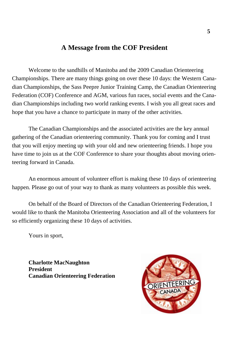#### **A Message from the COF President**

Welcome to the sandhills of Manitoba and the 2009 Canadian Orienteering Championships. There are many things going on over these 10 days: the Western Canadian Championships, the Sass Peepre Junior Training Camp, the Canadian Orienteering Federation (COF) Conference and AGM, various fun races, social events and the Canadian Championships including two world ranking events. I wish you all great races and hope that you have a chance to participate in many of the other activities.

The Canadian Championships and the associated activities are the key annual gathering of the Canadian orienteering community. Thank you for coming and I trust that you will enjoy meeting up with your old and new orienteering friends. I hope you have time to join us at the COF Conference to share your thoughts about moving orienteering forward in Canada.

An enormous amount of volunteer effort is making these 10 days of orienteering happen. Please go out of your way to thank as many volunteers as possible this week.

On behalf of the Board of Directors of the Canadian Orienteering Federation, I would like to thank the Manitoba Orienteering Association and all of the volunteers for so efficiently organizing these 10 days of activities.

Yours in sport,

**Charlotte MacNaughton President Canadian Orienteering Federation**

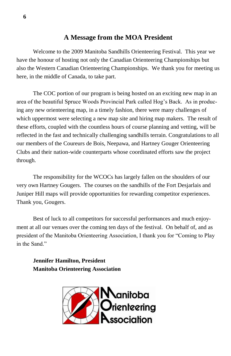#### **A Message from the MOA President**

Welcome to the 2009 Manitoba Sandhills Orienteering Festival. This year we have the honour of hosting not only the Canadian Orienteering Championships but also the Western Canadian Orienteering Championships. We thank you for meeting us here, in the middle of Canada, to take part.

The COC portion of our program is being hosted on an exciting new map in an area of the beautiful Spruce Woods Provincial Park called Hog's Back. As in producing any new orienteering map, in a timely fashion, there were many challenges of which uppermost were selecting a new map site and hiring map makers. The result of these efforts, coupled with the countless hours of course planning and vetting, will be reflected in the fast and technically challenging sandhills terrain. Congratulations to all our members of the Coureurs de Bois, Neepawa, and Hartney Gouger Orienteering Clubs and their nation-wide counterparts whose coordinated efforts saw the project through.

The responsibility for the WCOCs has largely fallen on the shoulders of our very own Hartney Gougers. The courses on the sandhills of the Fort Desjarlais and Juniper Hill maps will provide opportunities for rewarding competitor experiences. Thank you, Gougers.

Best of luck to all competitors for successful performances and much enjoyment at all our venues over the coming ten days of the festival. On behalf of, and as president of the Manitoba Orienteering Association, I thank you for "Coming to Play in the Sand."

**Jennifer Hamilton, President Manitoba Orienteering Association**

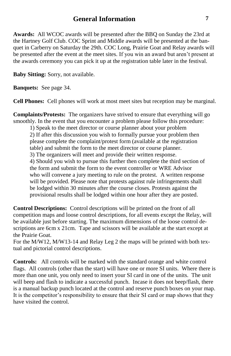#### **General Information**

**Awards:** All WCOC awards will be presented after the BBQ on Sunday the 23rd at the Hartney Golf Club. COC Sprint and Middle awards will be presented at the banquet in Carberry on Saturday the 29th. COC Long, Prairie Goat and Relay awards will be presented after the event at the meet sites. If you win an award but aren't present at the awards ceremony you can pick it up at the registration table later in the festival.

**Baby Sitting:** Sorry, not available.

**Banquets:** See page 34.

**Cell Phones:** Cell phones will work at most meet sites but reception may be marginal.

**Complaints/Protests:** The organizers have strived to ensure that everything will go smoothly. In the event that you encounter a problem please follow this procedure:

1) Speak to the meet director or course planner about your problem 2) If after this discussion you wish to formally pursue your problem then please complete the complaint/protest form (available at the registration table) and submit the form to the meet director or course planner. 3) The organizers will meet and provide their written response.

4) Should you wish to pursue this further then complete the third section of the form and submit the form to the event controller or WRE Advisor who will convene a jury meeting to rule on the protest. A written response will be provided. Please note that protests against rule infringements shall be lodged within 30 minutes after the course closes. Protests against the provisional results shall be lodged within one hour after they are posted.

**Control Descriptions:** Control descriptions will be printed on the front of all competition maps and loose control descriptions, for all events except the Relay, will be available just before starting. The maximum dimensions of the loose control descriptions are 6cm x 21cm. Tape and scissors will be available at the start except at the Prairie Goat.

For the M/W12, M/W13-14 and Relay Leg 2 the maps will be printed with both textual and pictorial control descriptions.

**Controls:** All controls will be marked with the standard orange and white control flags. All controls (other than the start) will have one or more SI units. Where there is more than one unit, you only need to insert your SI card in one of the units. The unit will beep and flash to indicate a successful punch. Incase it does not beep/flash, there is a manual backup punch located at the control and reserve punch boxes on your map. It is the competitor's responsibility to ensure that their SI card or map shows that they have visited the control.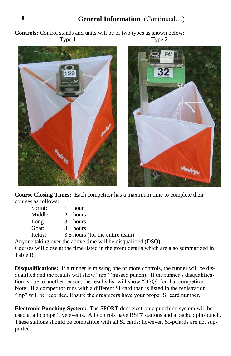#### **General Information** (Continued…)

**Controls:** Control stands and units will be of two types as shown below: Type 1 Type 2





**Course Closing Times:** Each competitor has a maximum time to complete their courses as follows:

| Sprint: | hour                            |
|---------|---------------------------------|
| Middle: | 2 hours                         |
| Long:   | 3 hours                         |
| Goat:   | 3 hours                         |
| Relay:  | 3.5 hours (for the entire team) |

Anyone taking over the above time will be disqualified (DSQ).

Courses will close at the time listed in the event details which are also summarized in Table B.

**Disqualifications:** If a runner is missing one or more controls, the runner will be disqualified and the results will show "mp" (missed punch). If the runner's disqualification is due to another reason, the results list will show "DSQ" for that competitor. Note: If a competitor runs with a different SI card than is listed in the registration, "mp" will be recorded. Ensure the organizers have your proper SI card number.

**Electronic Punching System:** The SPORTident electronic punching system will be used at all competitive events. All controls have BSF7 stations and a backup pin-punch. These stations should be compatible with all SI cards; however, SI-pCards are not supported.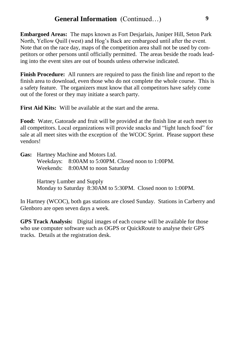**Embargoed Areas:** The maps known as Fort Desjarlais, Juniper Hill, Seton Park North, Yellow Quill (west) and Hog's Back are embargoed until after the event. Note that on the race day, maps of the competition area shall not be used by competitors or other persons until officially permitted. The areas beside the roads leading into the event sites are out of bounds unless otherwise indicated.

**Finish Procedure:** All runners are required to pass the finish line and report to the finish area to download, even those who do not complete the whole course. This is a safety feature. The organizers must know that all competitors have safely come out of the forest or they may initiate a search party.

**First Aid Kits:** Will be available at the start and the arena.

**Food:** Water, Gatorade and fruit will be provided at the finish line at each meet to all competitors. Local organizations will provide snacks and "light lunch food" for sale at all meet sites with the exception of the WCOC Sprint. Please support these vendors!

| <b>Gas:</b> Hartney Machine and Motors Ltd. |                                                    |  |
|---------------------------------------------|----------------------------------------------------|--|
|                                             | Weekdays: 8:00AM to 5:00PM. Closed noon to 1:00PM. |  |
|                                             | Weekends: 8:00AM to noon Saturday                  |  |

Hartney Lumber and Supply Monday to Saturday 8:30AM to 5:30PM. Closed noon to 1:00PM.

In Hartney (WCOC), both gas stations are closed Sunday. Stations in Carberry and Glenboro are open seven days a week.

**GPS Track Analysis:** Digital images of each course will be available for those who use computer software such as OGPS or QuickRoute to analyse their GPS tracks. Details at the registration desk.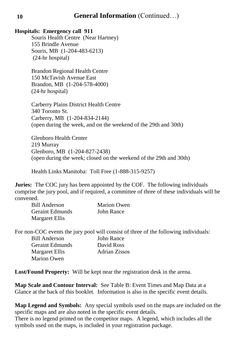#### **General Information** (Continued…)

#### **Hospitals: Emergency call 911**

Souris Health Centre (Near Hartney) 155 Brindle Avenue Souris, MB (1-204-483-6213) (24-hr hospital)

Brandon Regional Health Centre 150 McTavish Avenue East Brandon, MB (1-204-578-4000) (24-hr hospital)

Carberry Plains District Health Centre 340 Toronto St. Carberry, MB (1-204-834-2144) (open during the week, and on the weekend of the 29th and 30th)

Glenboro Health Center 219 Murray Glenboro, MB (1-204-827-2438) (open during the week; closed on the weekend of the 29th and 30th)

Health Links Manitoba: Toll Free (1-888-315-9257)

**Juries:** The COC jury has been appointed by the COF. The following individuals comprise the jury pool, and if required, a committee of three of these individuals will be convened.

| Bill Anderson   | Marion Owen |
|-----------------|-------------|
| Geraint Edmunds | John Rance  |
| Margaret Ellis  |             |

For non-COC events the jury pool will consist of three of the following individuals: Bill Anderson John Rance Geraint Edmunds David Ross Margaret Ellis Adrian Zissos Marion Owen

**Lost/Found Property:** Will be kept near the registration desk in the arena.

**Map Scale and Contour Interval:** See Table B: Event Times and Map Data at a Glance at the back of this booklet. Information is also in the specific event details.

**Map Legend and Symbols:** Any special symbols used on the maps are included on the specific maps and are also noted in the specific event details.

There is no legend printed on the competitor maps. A legend, which includes all the symbols used on the maps, is included in your registration package.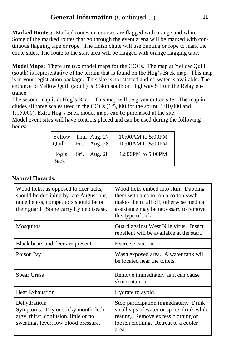**Marked Routes:** Marked routes on courses are flagged with orange and white. Some of the marked routes that go through the event arena will be marked with continuous flagging tape or rope. The finish chute will use bunting or rope to mark the chute sides. The route to the start area will be flagged with orange flagging tape.

**Model Maps:** There are two model maps for the COCs. The map at Yellow Quill (south) is representative of the terrain that is found on the Hog's Back map. This map is in your registration package. This site is not staffed and no water is available. The entrance to Yellow Quill (south) is 3.3km south on Highway 5 from the Relay entrance.

The second map is at Hog's Back. This map will be given out on site. The map includes all three scales used in the COCs (1:5,000 for the sprint, 1:10,000 and 1:15,000). Extra Hog's Back model maps can be purchased at the site.

Model event sites will have controls placed and can be used during the following hours:

|               | Yellow Thur. Aug. 27<br>Quill Fri. Aug. 28 | $10:00AM$ to 5:00PM<br>10:00 AM to 5:00 PM |
|---------------|--------------------------------------------|--------------------------------------------|
| Hog's<br>Back | Fri. Aug. 28                               | 12:00PM to 5:00PM                          |

#### **Natural Hazards:**

| Wood ticks, as opposed to deer ticks,<br>should be declining by late August but,<br>nonetheless, competitors should be on<br>their guard. Some carry Lyme disease. | Wood ticks embed into skin. Dabbing<br>them with alcohol on a cotton swab<br>makes them fall off, otherwise medical<br>assistance may be necessary to remove<br>this type of tick. |
|--------------------------------------------------------------------------------------------------------------------------------------------------------------------|------------------------------------------------------------------------------------------------------------------------------------------------------------------------------------|
| Mosquitos                                                                                                                                                          | Guard against West Nile virus. Insect<br>repellent will be available at the start.                                                                                                 |
| Black bears and deer are present                                                                                                                                   | Exercise caution.                                                                                                                                                                  |
| Poison Ivy                                                                                                                                                         | Wash exposed area. A water tank will<br>be located near the toilets.                                                                                                               |
| <b>Spear Grass</b>                                                                                                                                                 | Remove immediately as it can cause<br>skin irritation.                                                                                                                             |
| <b>Heat Exhaustion</b>                                                                                                                                             | Hydrate to avoid.                                                                                                                                                                  |
| Dehydration:<br>Symptoms: Dry or sticky mouth, leth-<br>argy, thirst, confusion, little or no<br>sweating, fever, low blood pressure.                              | Stop participation immediately. Drink<br>small sips of water or sports drink while<br>resting. Remove excess clothing or<br>loosen clothing. Retreat to a cooler<br>area.          |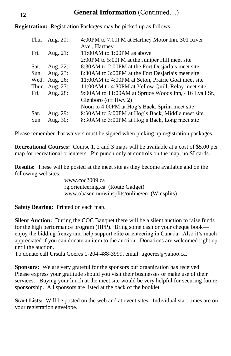#### **General Information** (Continued…)

**Registration:** Registration Packages may be picked up as follows:

|      | Thur. Aug. $20$ : | 4:00PM to 7:00PM at Hartney Motor Inn, 301 River        |
|------|-------------------|---------------------------------------------------------|
|      |                   | Ave., Hartney                                           |
| Fri. | Aug. $21$ :       | $11:00AM$ to $1:00PM$ as above                          |
|      |                   | 2:00PM to 5:00PM at the Juniper Hill meet site          |
| Sat. | Aug. 22:          | 8:30AM to 2:00PM at the Fort Desjarlais meet site       |
| Sun. | Aug. 23:          | 8:30AM to 3:00PM at the Fort Desjarlais meet site       |
| Wed. | Aug. 26:          | 11:00 AM to 4:00 PM at Seton, Prairie Goat meet site    |
|      | Thur. Aug. 27:    | 11:00AM to 4:30PM at Yellow Quill, Relay meet site      |
| Fri. | Aug. 28:          | 9:00 AM to 11:00 AM at Spruce Woods Inn, 416 Lyall St., |
|      |                   | Glenboro (off Hwy 2)                                    |
|      |                   | Noon to 4:00PM at Hog's Back, Sprint meet site          |
| Sat. | Aug. 29:          | 8:30AM to 2:00PM at Hog's Back, Middle meet site        |
| Sun. | Aug. 30:          | 8:30AM to 3:00PM at Hog's Back, Long meet site          |

Please remember that waivers must be signed when picking up registration packages.

**Recreational Courses:** Course 1, 2 and 3 maps will be available at a cost of \$5.00 per map for recreational orienteers. Pin punch only at controls on the map; no SI cards.

**Results:** These will be posted at the meet site as they become available and on the following websites:

> www.coc2009.ca rg.orienteering.ca (Route Gadget) www.obasen.nu/winsplits/online/en (Winsplits)

**Safety Bearing:** Printed on each map.

**Silent Auction:** During the COC Banquet there will be a silent auction to raise funds for the high performance program (HPP). Bring some cash or your cheque book enjoy the bidding frenzy and help support elite orienteering in Canada. Also it's much appreciated if you can donate an item to the auction. Donations are welcomed right up until the auction.

To donate call Ursula Goeres 1-204-488-3999, email: ugoeres@yahoo.ca.

**Sponsors:** We are very grateful for the sponsors our organization has received. Please express your gratitude should you visit their businesses or make use of their services. Buying your lunch at the meet site would be very helpful for securing future sponsorship. All sponsors are listed at the back of the booklet.

**Start Lists:** Will be posted on the web and at event sites. Individual start times are on your registration envelope.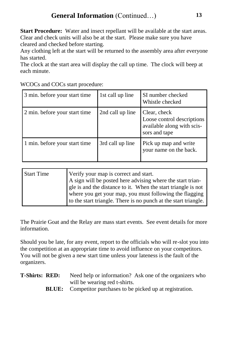**Start Procedure:** Water and insect repellant will be available at the start areas. Clear and check units will also be at the start. Please make sure you have cleared and checked before starting.

Any clothing left at the start will be returned to the assembly area after everyone has started.

The clock at the start area will display the call up time. The clock will beep at each minute.

| 3 min. before your start time | 1st call up line | SI number checked<br>Whistle checked                                                      |
|-------------------------------|------------------|-------------------------------------------------------------------------------------------|
| 2 min. before your start time | 2nd call up line | Clear, check<br>Loose control descriptions<br>available along with scis-<br>sors and tape |
| 1 min. before your start time | 3rd call up line | Pick up map and write<br>your name on the back.                                           |

| <b>Start Time</b> | Verify your map is correct and start.<br>A sign will be posted here advising where the start trian-<br>gle is and the distance to it. When the start triangle is not<br>where you get your map, you must following the flagging |
|-------------------|---------------------------------------------------------------------------------------------------------------------------------------------------------------------------------------------------------------------------------|
|                   | to the start triangle. There is no punch at the start triangle.                                                                                                                                                                 |

The Prairie Goat and the Relay are mass start events. See event details for more information.

Should you be late, for any event, report to the officials who will re-slot you into the competition at an appropriate time to avoid influence on your competitors. You will not be given a new start time unless your lateness is the fault of the organizers.

- **T-Shirts: RED:** Need help or information? Ask one of the organizers who will be wearing red t-shirts.
	- **BLUE:** Competitor purchases to be picked up at registration.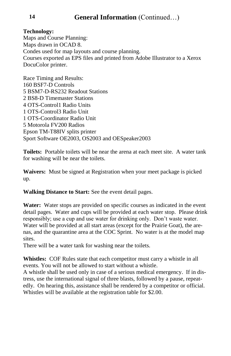#### **Technology:**

Maps and Course Planning: Maps drawn in OCAD 8. Condes used for map layouts and course planning. Courses exported as EPS files and printed from Adobe Illustrator to a Xerox DocuColor printer.

Race Timing and Results: 160 BSF7-D Controls 5 BSM7-D-RS232 Readout Stations 2 BS8-D Timemaster Stations 4 OTS-Control1 Radio Units 1 OTS-Control3 Radio Unit 1 OTS-Coordinator Radio Unit 5 Motorola FV200 Radios Epson TM-T88IV splits printer Sport Software OE2003, OS2003 and OESpeaker2003

**Toilets:** Portable toilets will be near the arena at each meet site. A water tank for washing will be near the toilets.

**Waivers:** Must be signed at Registration when your meet package is picked up.

**Walking Distance to Start:** See the event detail pages.

**Water:** Water stops are provided on specific courses as indicated in the event detail pages. Water and cups will be provided at each water stop. Please drink responsibly; use a cup and use water for drinking only. Don't waste water. Water will be provided at all start areas (except for the Prairie Goat), the arenas, and the quarantine area at the COC Sprint. No water is at the model map sites.

There will be a water tank for washing near the toilets.

**Whistles:** COF Rules state that each competitor must carry a whistle in all events. You will not be allowed to start without a whistle.

A whistle shall be used only in case of a serious medical emergency. If in distress, use the international signal of three blasts, followed by a pause, repeatedly. On hearing this, assistance shall be rendered by a competitor or official. Whistles will be available at the registration table for \$2.00.

**14**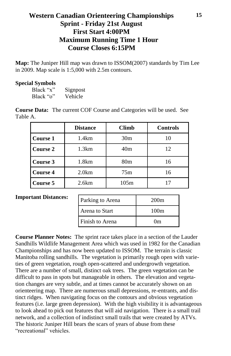#### **Western Canadian Orienteering Championships Sprint - Friday 21st August First Start 4:00PM Maximum Running Time 1 Hour Course Closes 6:15PM**

**Map:** The Juniper Hill map was drawn to ISSOM(2007) standards by Tim Lee in 2009. Map scale is 1:5,000 with 2.5m contours.

#### **Special Symbols**

| Black "x" | Signpost |
|-----------|----------|
| Black "o" | Vehicle  |

**Course Data:** The current COF Course and Categories will be used. See Table A.

|                 | <b>Distance</b> | <b>Climb</b>    | <b>Controls</b> |  |
|-----------------|-----------------|-----------------|-----------------|--|
| Course 1        | 1.4km           | 30 <sub>m</sub> | 10              |  |
| <b>Course 2</b> | 1.3km           | 40 <sub>m</sub> | 12              |  |
| Course 3        | 1.8km           | 80 <sub>m</sub> | 16              |  |
| <b>Course 4</b> | 2.0km           | 75m             | 16              |  |
| Course 5        | 2.6km           | 105m            |                 |  |

#### **Important Distances:**

| Parking to Arena | 200 <sub>m</sub> |
|------------------|------------------|
| Arena to Start   | 100m             |
| Finish to Arena  | $_{\rm 0m}$      |

**Course Planner Notes:** The sprint race takes place in a section of the Lauder Sandhills Wildlife Management Area which was used in 1982 for the Canadian Championships and has now been updated to ISSOM. The terrain is classic Manitoba rolling sandhills. The vegetation is primarily rough open with varieties of green vegetation, rough open-scattered and undergrowth vegetation. There are a number of small, distinct oak trees. The green vegetation can be difficult to pass in spots but manageable in others. The elevation and vegetation changes are very subtle, and at times cannot be accurately shown on an orienteering map. There are numerous small depressions, re-entrants, and distinct ridges. When navigating focus on the contours and obvious vegetation features (i.e. large green depression). With the high visibility it is advantageous to look ahead to pick out features that will aid navigation. There is a small trail network, and a collection of indistinct small trails that were created by ATVs. The historic Juniper Hill bears the scars of years of abuse from these "recreational" vehicles.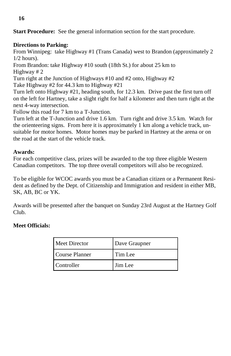**Start Procedure:** See the general information section for the start procedure.

#### **Directions to Parking:**

From Winnipeg: take Highway #1 (Trans Canada) west to Brandon (approximately 2 1/2 hours).

From Brandon: take Highway #10 south (18th St.) for about 25 km to Highway # 2

Turn right at the Junction of Highways #10 and #2 onto, Highway #2

Take Highway #2 for 44.3 km to Highway #21

Turn left onto Highway #21, heading south, for 12.3 km. Drive past the first turn off on the left for Hartney, take a slight right for half a kilometer and then turn right at the next 4-way intersection.

Follow this road for 7 km to a T-Junction.

Turn left at the T-Junction and drive 1.6 km. Turn right and drive 3.5 km. Watch for the orienteering signs. From here it is approximately 1 km along a vehicle track, unsuitable for motor homes. Motor homes may be parked in Hartney at the arena or on the road at the start of the vehicle track.

#### **Awards:**

For each competitive class, prizes will be awarded to the top three eligible Western Canadian competitors. The top three overall competitors will also be recognized.

To be eligible for WCOC awards you must be a Canadian citizen or a Permanent Resident as defined by the Dept. of Citizenship and Immigration and resident in either MB, SK, AB, BC or YK.

Awards will be presented after the banquet on Sunday 23rd August at the Hartney Golf Club.

#### **Meet Officials:**

| Meet Director  | Dave Graupner |
|----------------|---------------|
| Course Planner | Tim Lee       |
| Controller     | Jim Lee       |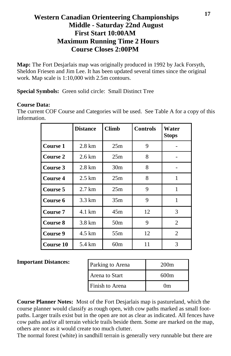#### **Western Canadian Orienteering Championships Middle - Saturday 22nd August First Start 10:00AM Maximum Running Time 2 Hours Course Closes 2:00PM**

**Map:** The Fort Desjarlais map was originally produced in 1992 by Jack Forsyth, Sheldon Friesen and Jim Lee. It has been updated several times since the original work. Map scale is 1:10,000 with 2.5m contours.

**Special Symbols:** Green solid circle: Small Distinct Tree

#### **Course Data:**

The current COF Course and Categories will be used. See Table A for a copy of this information.

|           | <b>Distance</b>  | <b>Climb</b>    | <b>Controls</b> | Water<br><b>Stops</b> |
|-----------|------------------|-----------------|-----------------|-----------------------|
| Course 1  | $2.8 \text{ km}$ | 25m             | 9               |                       |
| Course 2  | $2.6 \text{ km}$ | 25m             | 8               |                       |
| Course 3  | $2.8 \text{ km}$ | 30 <sub>m</sub> | 8               |                       |
| Course 4  | $2.5 \text{ km}$ | 25m             | 8               | 1                     |
| Course 5  | $2.7 \text{ km}$ | 25m             | 9               | 1                     |
| Course 6  | 3.3 km           | 35m             | 9               | 1                     |
| Course 7  | 4.1 km           | 45m             | 12              | 3                     |
| Course 8  | 3.8 km           | 50 <sub>m</sub> | 9               | $\overline{c}$        |
| Course 9  | 4.5 km           | 55m             | 12              | 2                     |
| Course 10 | 5.4 km           | 60m             | 11              | 3                     |

#### **Important Distances:**

| Parking to Arena | 200m        |
|------------------|-------------|
| Arena to Start   | 600m        |
| Finish to Arena  | $_{\rm 0m}$ |

**Course Planner Notes:** Most of the Fort Desjarlais map is pastureland, which the course planner would classify as rough open, with cow paths marked as small footpaths. Larger trails exist but in the open are not as clear as indicated. All fences have cow paths and/or all terrain vehicle trails beside them. Some are marked on the map, others are not as it would create too much clutter.

The normal forest (white) in sandhill terrain is generally very runnable but there are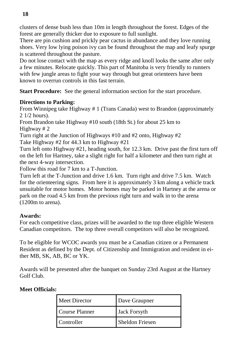clusters of dense bush less than 10m in length throughout the forest. Edges of the forest are generally thicker due to exposure to full sunlight.

There are pin cushion and prickly pear cactus in abundance and they love running shoes. Very low lying poison ivy can be found throughout the map and leafy spurge is scattered throughout the pasture.

Do not lose contact with the map as every ridge and knoll looks the same after only a few minutes. Relocate quickly. This part of Manitoba is very friendly to runners with few jungle areas to fight your way through but great orienteers have been known to overrun controls in this fast terrain.

**Start Procedure:** See the general information section for the start procedure.

#### **Directions to Parking:**

From Winnipeg take Highway # 1 (Trans Canada) west to Brandon (approximately 2 1/2 hours).

From Brandon take Highway #10 south (18th St.) for about 25 km to Highway # 2

Turn right at the Junction of Highways #10 and #2 onto, Highway #2 Take Highway #2 for 44.3 km to Highway #21

Turn left onto Highway #21, heading south, for 12.3 km. Drive past the first turn off on the left for Hartney, take a slight right for half a kilometer and then turn right at the next 4-way intersection.

Follow this road for 7 km to a T-Junction.

Turn left at the T-Junction and drive 1.6 km. Turn right and drive 7.5 km. Watch for the orienteering signs. From here it is approximately 3 km along a vehicle track unsuitable for motor homes. Motor homes may be parked in Hartney at the arena or park on the road 4.5 km from the previous right turn and walk in to the arena (1200m to arena).

#### **Awards:**

For each competitive class, prizes will be awarded to the top three eligible Western Canadian competitors. The top three overall competitors will also be recognized.

To be eligible for WCOC awards you must be a Canadian citizen or a Permanent Resident as defined by the Dept. of Citizenship and Immigration and resident in either MB, SK, AB, BC or YK.

Awards will be presented after the banquet on Sunday 23rd August at the Hartney Golf Club.

#### **Meet Officials:**

| Meet Director  | Dave Graupner          |
|----------------|------------------------|
| Course Planner | <b>Jack Forsyth</b>    |
| Controller     | <b>Sheldon Friesen</b> |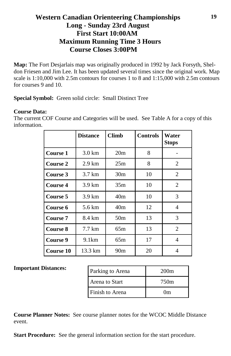#### **Western Canadian Orienteering Championships Long - Sunday 23rd August First Start 10:00AM Maximum Running Time 3 Hours Course Closes 3:00PM**

**Map:** The Fort Desjarlais map was originally produced in 1992 by Jack Forsyth, Sheldon Friesen and Jim Lee. It has been updated several times since the original work. Map scale is 1:10,000 with 2.5m contours for courses 1 to 8 and 1:15,000 with 2.5m contours for courses 9 and 10.

**Special Symbol:** Green solid circle: Small Distinct Tree

#### **Course Data:**

The current COF Course and Categories will be used. See Table A for a copy of this information.

|                  | <b>Distance</b>  | <b>Climb</b>    | <b>Controls</b> | Water<br><b>Stops</b> |
|------------------|------------------|-----------------|-----------------|-----------------------|
| Course 1         | $3.0 \text{ km}$ | 20 <sub>m</sub> | 8               |                       |
| Course 2         | $2.9 \text{ km}$ | 25m             | 8               | 2                     |
| Course 3         | $3.7 \text{ km}$ | 30 <sub>m</sub> | 10              | $\overline{2}$        |
| <b>Course 4</b>  | $3.9 \text{ km}$ | 35m             | 10              | 2                     |
| Course 5         | $3.9 \text{ km}$ | 40 <sub>m</sub> | 10              | 3                     |
| Course 6         | 5.6 km           | 40m             | 12              | 4                     |
| <b>Course 7</b>  | 8.4 km           | 50 <sub>m</sub> | 13              | 3                     |
| Course 8         | $7.7 \text{ km}$ | 65m             | 13              | $\overline{2}$        |
| Course 9         | 9.1km            | 65m             | 17              | 4                     |
| <b>Course 10</b> | 13.3 km          | 90 <sub>m</sub> | 20              | 4                     |

#### **Important Distances:**

| Parking to Arena | 200 <sub>m</sub> |
|------------------|------------------|
| Arena to Start   | 750m             |
| Finish to Arena  | $_{\rm 0m}$      |

**Course Planner Notes:** See course planner notes for the WCOC Middle Distance event.

**Start Procedure:** See the general information section for the start procedure.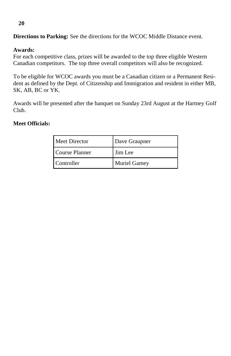#### **Awards:**

For each competitive class, prizes will be awarded to the top three eligible Western Canadian competitors. The top three overall competitors will also be recognized.

**Directions to Parking:** See the directions for the WCOC Middle Distance event.

To be eligible for WCOC awards you must be a Canadian citizen or a Permanent Resident as defined by the Dept. of Citizenship and Immigration and resident in either MB, SK, AB, BC or YK.

Awards will be presented after the banquet on Sunday 23rd August at the Hartney Golf Club.

#### **Meet Officials:**

| Meet Director  | Dave Graupner       |  |
|----------------|---------------------|--|
| Course Planner | Jim Lee             |  |
| Controller     | <b>Muriel Gamey</b> |  |

#### **20**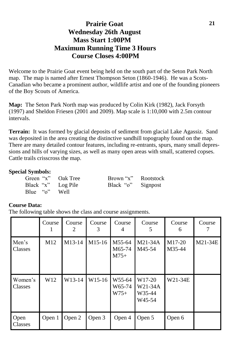#### **Prairie Goat Wednesday 26th August Mass Start 1:00PM Maximum Running Time 3 Hours Course Closes 4:00PM**

Welcome to the Prairie Goat event being held on the south part of the Seton Park North map. The map is named after Ernest Thompson Seton (1860-1946). He was a Scots-Canadian who became a prominent author, wildlife artist and one of the founding pioneers of the Boy Scouts of America.

**Map:** The Seton Park North map was produced by Colin Kirk (1982), Jack Forsyth (1997) and Sheldon Friesen (2001 and 2009). Map scale is 1:10,000 with 2.5m contour intervals.

**Terrain:** It was formed by glacial deposits of sediment from glacial Lake Agassiz. Sand was deposited in the area creating the distinctive sandhill topography found on the map. There are many detailed contour features, including re-entrants, spurs, many small depressions and hills of varying sizes, as well as many open areas with small, scattered copses. Cattle trails crisscross the map.

#### **Special Symbols:**

| Green "x" Oak Tree | Brown "x" Rootstock |  |
|--------------------|---------------------|--|
| Black "x" Log Pile | Black "o" Signpost  |  |
| Blue "o" Well      |                     |  |

#### **Course Data:**

The following table shows the class and course assignments.

|                    | Course<br>1     | Course<br>2 | Course<br>3        | Course<br>4                | Course<br>5                                       | Course<br>6      | Course  |
|--------------------|-----------------|-------------|--------------------|----------------------------|---------------------------------------------------|------------------|---------|
| Men's<br>Classes   | M <sub>12</sub> | M13-14      | M15-16             | M55-64<br>M65-74<br>$M75+$ | $M21-34A$<br>M45-54                               | M17-20<br>M35-44 | M21-34E |
| Women's<br>Classes | W <sub>12</sub> | W13-14      | W <sub>15-16</sub> | W55-64<br>W65-74<br>$W75+$ | W17-20<br>W21-34A<br>W35-44<br>W <sub>45-54</sub> | W21-34E          |         |
| Open<br>Classes    | Open 1          | Open 2      | Open 3             | Open 4                     | Open 5                                            | Open 6           |         |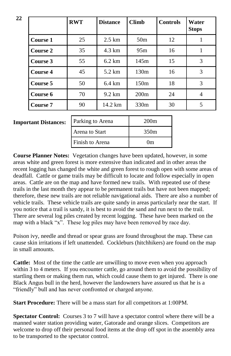|          | <b>RWT</b> | <b>Distance</b>  | <b>Climb</b>     | <b>Controls</b> | Water<br><b>Stops</b> |
|----------|------------|------------------|------------------|-----------------|-----------------------|
| Course 1 | 25         | $2.5 \text{ km}$ | 50 <sub>m</sub>  | 12              |                       |
| Course 2 | 35         | 4.3 km           | 95m              | 16              |                       |
| Course 3 | 55         | $6.2 \text{ km}$ | 145m             | 15              | 3                     |
| Course 4 | 45         | 5.2 km           | 130m             | 16              | 3                     |
| Course 5 | 50         | $6.4 \text{ km}$ | 150m             | 18              | 3                     |
| Course 6 | 70         | $9.2 \text{ km}$ | 200m             | 24              | 4                     |
| Course 7 | 90         | 14.2 km          | 330 <sub>m</sub> | 30              | 5                     |

#### **Important Distances:**

| Parking to Arena | 200m             |
|------------------|------------------|
| Arena to Start   | 350 <sub>m</sub> |
| Finish to Arena  | $_{0m}$          |

**Course Planner Notes:** Vegetation changes have been updated, however, in some areas white and green forest is more extensive than indicated and in other areas the recent logging has changed the white and green forest to rough open with some areas of deadfall. Cattle or game trails may be difficult to locate and follow especially in open areas. Cattle are on the map and have formed new trails. With repeated use of these trails in the last month they appear to be permanent trails but have not been mapped; therefore, these new trails are not reliable navigational aids. There are also a number of vehicle trails. These vehicle trails are quite sandy in areas particularly near the start. If you notice that a trail is sandy, it is best to avoid the sand and run next to the trail. There are several log piles created by recent logging. These have been marked on the map with a black "x". These log piles may have been removed by race day.

Poison ivy, needle and thread or spear grass are found throughout the map. These can cause skin irritations if left unattended. Cockleburs (hitchhikers) are found on the map in small amounts.

**Cattle:** Most of the time the cattle are unwilling to move even when you approach within 3 to 4 meters. If you encounter cattle, go around them to avoid the possibility of startling them or making them run, which could cause them to get injured. There is one Black Angus bull in the herd, however the landowners have assured us that he is a "friendly" bull and has never confronted or charged anyone.

**Start Procedure:** There will be a mass start for all competitors at 1:00PM.

**Spectator Control:** Courses 3 to 7 will have a spectator control where there will be a manned water station providing water, Gatorade and orange slices. Competitors are welcome to drop off their personal food items at the drop off spot in the assembly area to be transported to the spectator control.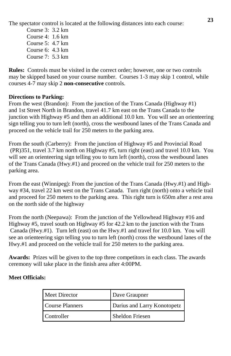The spectator control is located at the following distances into each course:

Course 3: 3.2 km Course 4: 1.6 km Course 5: 4.7 km Course 6: 4.3 km Course  $7: 5.3$  km

**Rules:** Controls must be visited in the correct order; however, one or two controls may be skipped based on your course number. Courses 1-3 may skip 1 control, while courses 4-7 may skip 2 **non-consecutive** controls.

#### **Directions to Parking:**

From the west (Brandon): From the junction of the Trans Canada (Highway #1) and 1st Street North in Brandon, travel 41.7 km east on the Trans Canada to the junction with Highway #5 and then an additional 10.0 km. You will see an orienteering sign telling you to turn left (north), cross the westbound lanes of the Trans Canada and proceed on the vehicle trail for 250 meters to the parking area.

From the south (Carberry): From the junction of Highway #5 and Provincial Road (PR)351, travel 3.7 km north on Highway #5, turn right (east) and travel 10.0 km. You will see an orienteering sign telling you to turn left (north), cross the westbound lanes of the Trans Canada (Hwy.#1) and proceed on the vehicle trail for 250 meters to the parking area.

From the east (Winnipeg): From the junction of the Trans Canada (Hwy.#1) and Highway #34, travel 22 km west on the Trans Canada. Turn right (north) onto a vehicle trail and proceed for 250 meters to the parking area. This right turn is 650m after a rest area on the north side of the highway

From the north (Neepawa): From the junction of the Yellowhead Highway #16 and Highway #5, travel south on Highway #5 for 42.2 km to the junction with the Trans Canada (Hwy.#1). Turn left (east) on the Hwy.#1 and travel for 10.0 km. You will see an orienteering sign telling you to turn left (north) cross the westbound lanes of the Hwy.#1 and proceed on the vehicle trail for 250 meters to the parking area.

**Awards:** Prizes will be given to the top three competitors in each class. The awards ceremony will take place in the finish area after 4:00PM.

#### **Meet Officials:**

| Meet Director   | Dave Graupner               |  |
|-----------------|-----------------------------|--|
| Course Planners | Darius and Larry Konotopetz |  |
| Controller      | <b>Sheldon Friesen</b>      |  |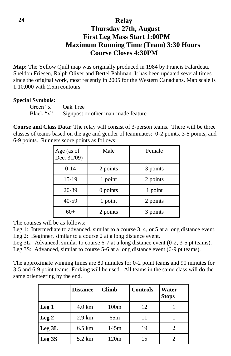#### **Relay Thursday 27th, August First Leg Mass Start 1:00PM Maximum Running Time (Team) 3:30 Hours Course Closes 4:30PM**

**Map:** The Yellow Quill map was originally produced in 1984 by Francis Falardeau, Sheldon Friesen, Ralph Oliver and Bertel Pahlman. It has been updated several times since the original work, most recently in 2005 for the Western Canadians. Map scale is 1:10,000 with 2.5m contours.

#### **Special Symbols:**

| Green ''x'' | Oak Tree                           |
|-------------|------------------------------------|
| Black "x"   | Signpost or other man-made feature |

**Course and Class Data:** The relay will consist of 3-person teams. There will be three classes of teams based on the age and gender of teammates: 0-2 points, 3-5 points, and 6-9 points. Runners score points as follows:

| Age (as of<br>Dec. 31/09) | Male     | Female   |
|---------------------------|----------|----------|
| $0 - 14$                  | 2 points | 3 points |
| 15-19                     | 1 point  | 2 points |
| 20-39                     | 0 points | 1 point  |
| 40-59                     | 1 point  | 2 points |
| 60+                       | 2 points | 3 points |

The courses will be as follows:

Leg 1: Intermediate to advanced, similar to a course 3, 4, or 5 at a long distance event.

Leg 2: Beginner, similar to a course 2 at a long distance event.

Leg 3L: Advanced, similar to course 6-7 at a long distance event (0-2, 3-5 pt teams).

Leg 3S: Advanced, similar to course 5-6 at a long distance event (6-9 pt teams).

The approximate winning times are 80 minutes for 0-2 point teams and 90 minutes for 3-5 and 6-9 point teams. Forking will be used. All teams in the same class will do the same orienteering by the end.

|                   | <b>Distance</b>  | <b>Climb</b>     | <b>Controls</b> | Water<br><b>Stops</b>       |
|-------------------|------------------|------------------|-----------------|-----------------------------|
| Leg <sub>1</sub>  | $4.0 \text{ km}$ | 100 <sub>m</sub> | 12              |                             |
| Leg <sub>2</sub>  | $2.9 \text{ km}$ | 65m              | 11              |                             |
| Leg 3L            | $6.5 \text{ km}$ | 145m             | 19              | $\mathcal{D}_{\mathcal{L}}$ |
| Leg <sub>3S</sub> | 5.2 km           | 120m             | 15              |                             |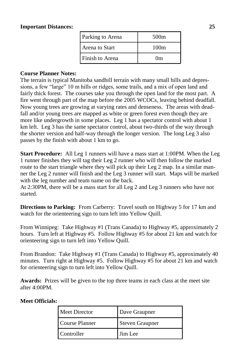#### **Important Distances:**

| Parking to Arena | 500 <sub>m</sub> |  |
|------------------|------------------|--|
| Arena to Start   | 100m             |  |
| Finish to Arena  | $_{\rm 0m}$      |  |

#### **Course Planner Notes:**

The terrain is typical Manitoba sandhill terrain with many small hills and depressions, a few "large" 10 m hills or ridges, some trails, and a mix of open land and fairly thick forest. The courses take you through the open land for the most part. A fire went through part of the map before the 2005 WCOCs, leaving behind deadfall. Now young trees are growing at varying rates and denseness. The areas with deadfall and/or young trees are mapped as white or green forest even though they are more like undergrowth in some places. Leg 1 has a spectator control with about 1 km left. Leg 3 has the same spectator control, about two-thirds of the way through the shorter version and half-way through the longer version. The long Leg 3 also passes by the finish with about 1 km to go.

**Start Procedure:** All Leg 1 runners will have a mass start at 1:00PM. When the Leg 1 runner finishes they will tag their Leg 2 runner who will then follow the marked route to the start triangle where they will pick up their Leg 2 map. In a similar manner the Leg 2 runner will finish and the Leg 3 runner will start. Maps will be marked with the leg number and team name on the back.

At 2:30PM, there will be a mass start for all Leg 2 and Leg 3 runners who have not started.

**Directions to Parking:** From Carberry: Travel south on Highway 5 for 17 km and watch for the orienteering sign to turn left into Yellow Quill.

From Winnipeg: Take Highway #1 (Trans Canada) to Highway #5, approximately 2 hours. Turn left at Highway #5. Follow Highway #5 for about 21 km and watch for orienteering sign to turn left into Yellow Quill.

From Brandon: Take Highway #1 (Trans Canada) to Highway #5, approximately 40 minutes. Turn right at Highway #5. Follow Highway #5 for about 21 km and watch for orienteering sign to turn left into Yellow Quill.

**Awards:** Prizes will be given to the top three teams in each class at the meet site after 4:00PM.

| . . |                |                        |
|-----|----------------|------------------------|
|     | Meet Director  | Dave Graupner          |
|     | Course Planner | <b>Steven Graupner</b> |
|     | Controller     | Jim Lee                |
|     |                |                        |

#### **Meet Officials:**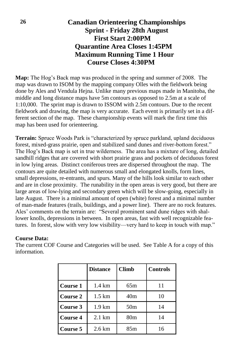#### **Canadian Orienteering Championships Sprint - Friday 28th August First Start 2:00PM Quarantine Area Closes 1:45PM Maximum Running Time 1 Hour Course Closes 4:30PM**

**Map:** The Hog's Back map was produced in the spring and summer of 2008. The map was drawn to ISOM by the mapping company Olles with the fieldwork being done by Ales and Vendula Hejna. Unlike many previous maps made in Manitoba, the middle and long distance maps have 5m contours as opposed to 2.5m at a scale of 1:10,000. The sprint map is drawn to ISSOM with 2.5m contours. Due to the recent fieldwork and drawing, the map is very accurate. Each event is primarily set in a different section of the map. These championship events will mark the first time this map has been used for orienteering.

**Terrain:** Spruce Woods Park is "characterized by spruce parkland, upland deciduous forest, mixed-grass prairie, open and stabilized sand dunes and river-bottom forest." The Hog's Back map is set in true wilderness. The area has a mixture of long, detailed sandhill ridges that are covered with short prairie grass and pockets of deciduous forest in low lying areas. Distinct coniferous trees are dispersed throughout the map. The contours are quite detailed with numerous small and elongated knolls, form lines, small depressions, re-entrants, and spurs. Many of the hills look similar to each other and are in close proximity. The runability in the open areas is very good, but there are large areas of low-lying and secondary green which will be slow-going, especially in late August. There is a minimal amount of open (white) forest and a minimal number of man-made features (trails, buildings, and a power line). There are no rock features. Ales' comments on the terrain are: "Several prominent sand dune ridges with shallower knolls, depressions in between. In open areas, fast with well recognizable features. In forest, slow with very low visibility—very hard to keep in touch with map."

#### **Course Data:**

The current COF Course and Categories will be used. See Table A for a copy of this information.

|                 | <b>Distance</b>   | <b>Climb</b>    | <b>Controls</b> |
|-----------------|-------------------|-----------------|-----------------|
| Course 1        | $1.4 \text{ km}$  | 65m             | 11              |
| <b>Course 2</b> | 1.5 km            | 40 <sub>m</sub> | 10              |
| Course 3        | $1.9 \mathrm{km}$ | 50 <sub>m</sub> | 14              |
| <b>Course 4</b> | $2.1 \text{ km}$  | 80 <sub>m</sub> | 14              |
| Course 5        | $2.6 \mathrm{km}$ | 85m             | 16              |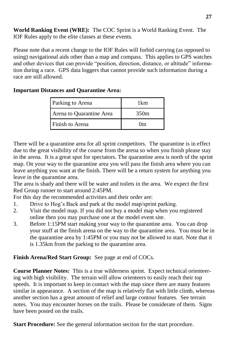**World Ranking Event (WRE):** The COC Sprint is a World Ranking Event. The IOF Rules apply to the elite classes at these events.

Please note that a recent change to the IOF Rules will forbid carrying (as opposed to using) navigational aids other than a map and compass. This applies to GPS watches and other devices that can provide "position, direction, distance, or altitude" information during a race. GPS data loggers that cannot provide such information during a race are still allowed.

| <b>Important Distances and Quarantine Area:</b> |  |
|-------------------------------------------------|--|
|-------------------------------------------------|--|

| Parking to Arena         | 1km  |  |
|--------------------------|------|--|
| Arena to Quarantine Area | 350m |  |
| Finish to Arena          | 0m   |  |

There will be a quarantine area for all sprint competitors. The quarantine is in effect due to the great visibility of the course from the arena so when you finish please stay in the arena. It is a great spot for spectators. The quarantine area is north of the sprint map. On your way to the quarantine area you will pass the finish area where you can leave anything you want at the finish. There will be a return system for anything you leave in the quarantine area.

The area is shady and there will be water and toilets in the area. We expect the first Red Group runner to start around 2:45PM.

For this day the recommended activities and their order are:

- 1. Drive to Hog's Back and park at the model map/sprint parking.
- 2. Visit the model map. If you did not buy a model map when you registered online then you may purchase one at the model event site.
- 3. Before 1:15PM start making your way to the quarantine area. You can drop your stuff at the finish arena on the way to the quarantine area. You must be in the quarantine area by 1:45PM or you may not be allowed to start. Note that it is 1.35km from the parking to the quarantine area.

#### **Finish Arena/Red Start Group:** See page at end of COCs.

**Course Planner Notes:** This is a true wilderness sprint. Expect technical orienteering with high visibility. The terrain will allow orienteers to easily reach their top speeds. It is important to keep in contact with the map since there are many features similar in appearance. A section of the map is relatively flat with little climb, whereas another section has a great amount of relief and large contour features. See terrain notes. You may encounter horses on the trails. Please be considerate of them. Signs have been posted on the trails.

**Start Procedure:** See the general information section for the start procedure.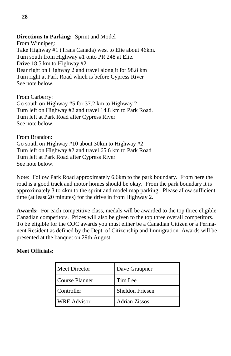#### **Directions to Parking:** Sprint and Model

From Winnipeg: Take Highway #1 (Trans Canada) west to Elie about 46km. Turn south from Highway #1 onto PR 248 at Elie. Drive 18.5 km to Highway #2 Bear right on Highway 2 and travel along it for 98.8 km Turn right at Park Road which is before Cypress River See note below.

From Carberry: Go south on Highway #5 for 37.2 km to Highway 2 Turn left on Highway #2 and travel 14.8 km to Park Road. Turn left at Park Road after Cypress River See note below.

From Brandon: Go south on Highway #10 about 30km to Highway #2 Turn left on Highway #2 and travel 65.6 km to Park Road Turn left at Park Road after Cypress River See note below.

Note: Follow Park Road approximately 6.6km to the park boundary. From here the road is a good track and motor homes should be okay. From the park boundary it is approximately 3 to 4km to the sprint and model map parking. Please allow sufficient time (at least 20 minutes) for the drive in from Highway 2.

**Awards:** For each competitive class, medals will be awarded to the top three eligible Canadian competitors. Prizes will also be given to the top three overall competitors. To be eligible for the COC awards you must either be a Canadian Citizen or a Permanent Resident as defined by the Dept. of Citizenship and Immigration. Awards will be presented at the banquet on 29th August.

#### **Meet Officials:**

| Meet Director      | Dave Graupner          |
|--------------------|------------------------|
| Course Planner     | Tim Lee                |
| Controller         | <b>Sheldon Friesen</b> |
| <b>WRE</b> Advisor | <b>Adrian Zissos</b>   |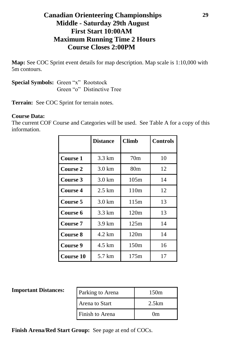#### **Canadian Orienteering Championships Middle - Saturday 29th August First Start 10:00AM Maximum Running Time 2 Hours Course Closes 2:00PM**

**Map:** See COC Sprint event details for map description. Map scale is 1:10,000 with 5m contours.

**Special Symbols:** Green "x" Rootstock Green "o" Distinctive Tree

**Terrain:** See COC Sprint for terrain notes.

#### **Course Data:**

The current COF Course and Categories will be used. See Table A for a copy of this information.

|                  | <b>Distance</b>  | <b>Climb</b>    | <b>Controls</b> |
|------------------|------------------|-----------------|-----------------|
|                  |                  |                 |                 |
| Course 1         | 3.3 km           | 70 <sub>m</sub> | 10              |
| <b>Course 2</b>  | $3.0 \text{ km}$ | 80m             | 12              |
| <b>Course</b> 3  | $3.0 \text{ km}$ | 105m            | 14              |
| <b>Course 4</b>  | $2.5 \text{ km}$ | 110m            | 12              |
| <b>Course 5</b>  | $3.0 \text{ km}$ | 115m            | 13              |
| Course 6         | 3.3 km           | 120m            | 13              |
| <b>Course</b> 7  | $3.9 \text{ km}$ | 125m            | 14              |
| <b>Course 8</b>  | 4.2 km           | 120m            | 14              |
| Course 9         | 4.5 km           | 150m            | 16              |
| <b>Course 10</b> | 5.7 km           | 175m            | 17              |

#### **Important Distances:**

| Parking to Arena | 150m        |
|------------------|-------------|
| Arena to Start   | 2.5km       |
| Finish to Arena  | $_{\rm 0m}$ |

**Finish Arena/Red Start Group:** See page at end of COCs.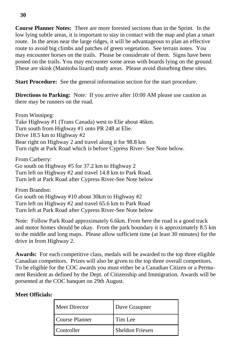**Course Planner Notes:** There are more forested sections than in the Sprint. In the low lying subtle areas, it is important to stay in contact with the map and plan a smart route. In the areas near the large ridges, it will be advantageous to plan an effective route to avoid big climbs and patches of green vegetation. See terrain notes. You may encounter horses on the trails. Please be considerate of them. Signs have been posted on the trails. You may encounter some areas with boards lying on the ground. These are skink (Manitoba lizard) study areas. Please avoid disturbing these sites.

**Start Procedure:** See the general information section for the start procedure.

**Directions to Parking:** Note: If you arrive after 10:00 AM please use caution as there may be runners on the road.

From Winnipeg: Take Highway #1 (Trans Canada) west to Elie about 46km. Turn south from Highway #1 onto PR 248 at Elie. Drive 18.5 km to Highway #2 Bear right on Highway 2 and travel along it for 98.8 km Turn right at Park Road which is before Cypress River- See Note below.

From Carberry: Go south on Highway #5 for 37.2 km to Highway 2 Turn left on Highway #2 and travel 14.8 km to Park Road. Turn left at Park Road after Cypress River-See Note below

From Brandon: Go south on Highway #10 about 30km to Highway #2 Turn left on Highway #2 and travel 65.6 km to Park Road Turn left at Park Road after Cypress River-See Note below

Note: Follow Park Road approximately 6.6km. From here the road is a good track and motor homes should be okay. From the park boundary it is approximately 8.5 km to the middle and long maps. Please allow sufficient time (at least 30 minutes) for the drive in from Highway 2.

**Awards:** For each competitive class, medals will be awarded to the top three eligible Canadian competitors. Prizes will also be given to the top three overall competitors. To be eligible for the COC awards you must either be a Canadian Citizen or a Permanent Resident as defined by the Dept. of Citizenship and Immigration. Awards will be presented at the COC banquet on 29th August.

#### **Meet Officials:**

| Meet Director  | Dave Graupner          |
|----------------|------------------------|
| Course Planner | Tim Lee                |
| Controller     | <b>Sheldon Friesen</b> |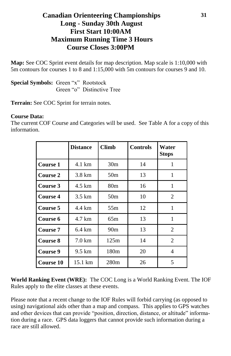#### **Canadian Orienteering Championships Long - Sunday 30th August First Start 10:00AM Maximum Running Time 3 Hours Course Closes 3:00PM**

**Map:** See COC Sprint event details for map description. Map scale is 1:10,000 with 5m contours for courses 1 to 8 and 1:15,000 with 5m contours for courses 9 and 10.

**Special Symbols:** Green "x" Rootstock Green "o" Distinctive Tree

**Terrain:** See COC Sprint for terrain notes.

#### **Course Data:**

The current COF Course and Categories will be used. See Table A for a copy of this information.

|                 | <b>Distance</b>   | <b>Climb</b>    | <b>Controls</b> | Water<br><b>Stops</b> |
|-----------------|-------------------|-----------------|-----------------|-----------------------|
| Course 1        | 4.1 km            | 30 <sub>m</sub> | 14              | 1                     |
| Course 2        | 3.8 km            | 50 <sub>m</sub> | 13              | 1                     |
| Course 3        | 4.5 km            | 80 <sub>m</sub> | 16              | 1                     |
| Course 4        | $3.5 \text{ km}$  | 50 <sub>m</sub> | 10              | 2                     |
| Course 5        | 4.4 km            | 55 <sub>m</sub> | 12              | 1                     |
| Course 6        | 4.7 km            | 65m             | 13              | 1                     |
| <b>Course 7</b> | $6.4 \text{ km}$  | 90 <sub>m</sub> | 13              | 2                     |
| Course 8        | $7.0 \text{ km}$  | 125m            | 14              | 2                     |
| Course 9        | 9.5 km            | 180m            | 20              | 4                     |
| Course 10       | $15.1 \text{ km}$ | 280m            | 26              | 5                     |

**World Ranking Event (WRE):** The COC Long is a World Ranking Event. The IOF Rules apply to the elite classes at these events.

Please note that a recent change to the IOF Rules will forbid carrying (as opposed to using) navigational aids other than a map and compass. This applies to GPS watches and other devices that can provide "position, direction, distance, or altitude" information during a race. GPS data loggers that cannot provide such information during a race are still allowed.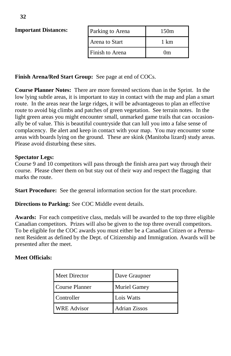#### **Important Distances:**

| Parking to Arena | 150m        |
|------------------|-------------|
| Arena to Start   | 1 km        |
| Finish to Arena  | $_{\rm 0m}$ |

#### **Finish Arena/Red Start Group:** See page at end of COCs.

**Course Planner Notes:** There are more forested sections than in the Sprint. In the low lying subtle areas, it is important to stay in contact with the map and plan a smart route. In the areas near the large ridges, it will be advantageous to plan an effective route to avoid big climbs and patches of green vegetation. See terrain notes. In the light green areas you might encounter small, unmarked game trails that can occasionally be of value. This is beautiful countryside that can lull you into a false sense of complacency. Be alert and keep in contact with your map. You may encounter some areas with boards lying on the ground. These are skink (Manitoba lizard) study areas. Please avoid disturbing these sites.

#### **Spectator Legs:**

Course 9 and 10 competitors will pass through the finish area part way through their course. Please cheer them on but stay out of their way and respect the flagging that marks the route.

**Start Procedure:** See the general information section for the start procedure.

**Directions to Parking:** See COC Middle event details.

**Awards:** For each competitive class, medals will be awarded to the top three eligible Canadian competitors. Prizes will also be given to the top three overall competitors. To be eligible for the COC awards you must either be a Canadian Citizen or a Permanent Resident as defined by the Dept. of Citizenship and Immigration. Awards will be presented after the meet.

#### **Meet Officials:**

| Meet Director      | Dave Graupner |
|--------------------|---------------|
| Course Planner     | Muriel Gamey  |
| Controller         | Lois Watts    |
| <b>WRE</b> Advisor | Adrian Zissos |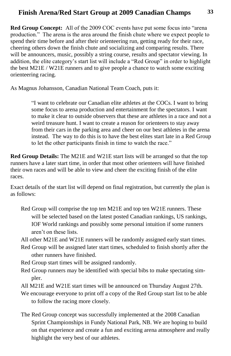#### **Finish Arena/Red Start Group at 2009 Canadian Champs**

**Red Group Concept:** All of the 2009 COC events have put some focus into "arena production." The arena is the area around the finish chute where we expect people to spend their time before and after their orienteering run, getting ready for their race, cheering others down the finish chute and socializing and comparing results. There will be announcers, music, possibly a string course, results and spectator viewing. In addition, the elite category's start list will include a "Red Group" in order to highlight the best M21E / W21E runners and to give people a chance to watch some exciting orienteering racing.

As Magnus Johansson, Canadian National Team Coach, puts it:

"I want to celebrate our Canadian elite athletes at the COCs. I want to bring some focus to arena production and entertainment for the spectators. I want to make it clear to outside observers that these are athletes in a race and not a weird treasure hunt. I want to create a reason for orienteers to stay away from their cars in the parking area and cheer on our best athletes in the arena instead. The way to do this is to have the best elites start late in a Red Group to let the other participants finish in time to watch the race."

**Red Group Details:** The M21E and W21E start lists will be arranged so that the top runners have a later start time, in order that most other orienteers will have finished their own races and will be able to view and cheer the exciting finish of the elite races.

Exact details of the start list will depend on final registration, but currently the plan is as follows:

- Red Group will comprise the top ten M21E and top ten W21E runners. These will be selected based on the latest posted Canadian rankings, US rankings, IOF World rankings and possibly some personal intuition if some runners aren't on these lists.
- All other M21E and W21E runners will be randomly assigned early start times.
- Red Group will be assigned later start times, scheduled to finish shortly after the other runners have finished.
- Red Group start times will be assigned randomly.
- Red Group runners may be identified with special bibs to make spectating simpler.
- All M21E and W21E start times will be announced on Thursday August 27th.
- We encourage everyone to print off a copy of the Red Group start list to be able to follow the racing more closely.
- The Red Group concept was successfully implemented at the 2008 Canadian Sprint Championships in Fundy National Park, NB. We are hoping to build on that experience and create a fun and exciting arena atmosphere and really highlight the very best of our athletes.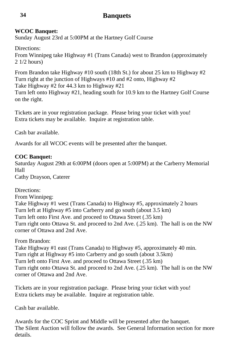#### **Banquets**

#### **WCOC Banquet:**

Sunday August 23rd at 5:00PM at the Hartney Golf Course

Directions:

From Winnipeg take Highway #1 (Trans Canada) west to Brandon (approximately 2 1/2 hours)

From Brandon take Highway #10 south (18th St.) for about 25 km to Highway #2 Turn right at the junction of Highways #10 and #2 onto, Highway #2 Take Highway #2 for 44.3 km to Highway #21 Turn left onto Highway #21, heading south for 10.9 km to the Hartney Golf Course on the right.

Tickets are in your registration package. Please bring your ticket with you! Extra tickets may be available. Inquire at registration table.

Cash bar available.

Awards for all WCOC events will be presented after the banquet.

#### **COC Banquet:**

Saturday August 29th at 6:00PM (doors open at 5:00PM) at the Carberry Memorial Hall Cathy Drayson, Caterer

Directions:

From Winnipeg: Take Highway #1 west (Trans Canada) to Highway #5, approximately 2 hours Turn left at Highway #5 into Carberry and go south (about 3.5 km) Turn left onto First Ave. and proceed to Ottawa Street (.35 km) Turn right onto Ottawa St. and proceed to 2nd Ave. (.25 km). The hall is on the NW corner of Ottawa and 2nd Ave.

From Brandon:

Take Highway #1 east (Trans Canada) to Highway #5, approximately 40 min. Turn right at Highway #5 into Carberry and go south (about 3.5km) Turn left onto First Ave. and proceed to Ottawa Street (.35 km) Turn right onto Ottawa St. and proceed to 2nd Ave. (.25 km). The hall is on the NW corner of Ottawa and 2nd Ave.

Tickets are in your registration package. Please bring your ticket with you! Extra tickets may be available. Inquire at registration table.

Cash bar available.

Awards for the COC Sprint and Middle will be presented after the banquet. The Silent Auction will follow the awards. See General Information section for more details.

**34**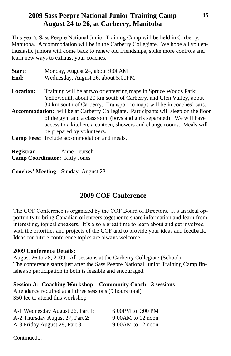#### **2009 Sass Peepre National Junior Training Camp August 24 to 26, at Carberry, Manitoba**

This year's Sass Peepre National Junior Training Camp will be held in Carberry, Manitoba. Accommodation will be in the Carberry Collegiate. We hope all you enthusiastic juniors will come back to renew old friendships, spike more controls and learn new ways to exhaust your coaches.

| <b>Start:</b>    | Monday, August 24, about 9:00 AM                                                           |
|------------------|--------------------------------------------------------------------------------------------|
| End:             | Wednesday, August 26, about 5:00PM                                                         |
| <b>Location:</b> | Training will be at two orienteering maps in Spruce Woods Park:                            |
|                  | Yellowquill, about 20 km south of Carberry, and Glen Valley, about                         |
|                  | 30 km south of Carberry. Transport to maps will be in coaches' cars.                       |
|                  | <b>Accommodation:</b> will be at Carberry Collegiate. Participants will sleep on the floor |
|                  | of the gym and a classroom (boys and girls separated). We will have                        |
|                  | access to a kitchen, a canteen, showers and change rooms. Meals will                       |
|                  | be prepared by volunteers.                                                                 |
|                  | <b>Camp Fees:</b> Include accommodation and meals.                                         |
|                  |                                                                                            |
|                  |                                                                                            |

**Registrar:** Anne Teutsch **Camp Coordinator:** Kitty Jones

**Coaches' Meeting:** Sunday, August 23

#### **2009 COF Conference**

The COF Conference is organized by the COF Board of Directors. It's an ideal opportunity to bring Canadian orienteers together to share information and learn from interesting, topical speakers. It's also a great time to learn about and get involved with the priorities and projects of the COF and to provide your ideas and feedback. Ideas for future conference topics are always welcome.

#### **2009 Conference Details:**

August 26 to 28, 2009. All sessions at the Carberry Collegiate (School) The conference starts just after the Sass Peepre National Junior Training Camp finishes so participation in both is feasible and encouraged.

**Session A: Coaching Workshop—Community Coach - 3 sessions** Attendance required at all three sessions (9 hours total) \$50 fee to attend this workshop

| A-1 Wednesday August 26, Part 1: | 6:00PM to 9:00 PM   |
|----------------------------------|---------------------|
| A-2 Thursday August 27, Part 2:  | $9:00AM$ to 12 noon |
| A-3 Friday August 28, Part 3:    | $9:00AM$ to 12 noon |

Continued...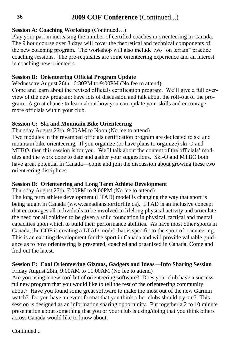#### **2009 COF Conference** (Continued...)

#### **Session A: Coaching Workshop** (Continued…)

Play your part in increasing the number of certified coaches in orienteering in Canada. The 9 hour course over 3 days will cover the theoretical and technical components of the new coaching program. The workshop will also include two "on terrain" practice coaching sessions. The pre-requisites are some orienteering experience and an interest in coaching new orienteers.

#### **Session B: Orienteering Official Program Update**

Wednesday August 26th, 6:30PM to 9:00PM (No fee to attend) Come and learn about the revised officials certification program. We'll give a full overview of the new program; have lots of discussion and talk about the roll-out of the program. A great chance to learn about how you can update your skills and encourage more officials within your club.

#### **Session C: Ski and Mountain Bike Orienteering**

Thursday August 27th, 9:00AM to Noon (No fee to attend)

Two modules in the revamped officials certification program are dedicated to ski and mountain bike orienteering. If you organize (or have plans to organize) ski-O and MTBO, then this session is for you. We'll talk about the content of the officials' modules and the work done to date and gather your suggestions. Ski-O and MTBO both have great potential in Canada—come and join the discussion about growing these two orienteering disciplines.

#### **Session D: Orienteering and Long Term Athlete Development**

Thursday August 27th, 7:00PM to 9:00PM (No fee to attend)

The long term athlete development (LTAD) model is changing the way that sport is being taught in Canada (www.canadiansportforlife.ca). LTAD is an inclusive concept that encourages all individuals to be involved in lifelong physical activity and articulate the need for all children to be given a solid foundation in physical, tactical and mental capacities upon which to build their performance abilities. As have most other sports in Canada, the COF is creating a LTAD model that is specific to the sport of orienteering. This is an exciting development for the sport in Canada and will provide valuable guidance as to how orienteering is presented, coached and organized in Canada. Come and find out the latest.

#### **Session E: Cool Orienteering Gizmos, Gadgets and Ideas—Info Sharing Session**

Friday August 28th, 9:00AM to 11:00AM (No fee to attend)

Are you using a new cool bit of orienteering software? Does your club have a successful new program that you would like to tell the rest of the orienteering community about? Have you found some great software to make the most out of the new Garmin watch? Do you have an event format that you think other clubs should try out? This session is designed as an information sharing opportunity. Put together a 2 to 10 minute presentation about something that you or your club is using/doing that you think others across Canada would like to know about.

Continued...

**36**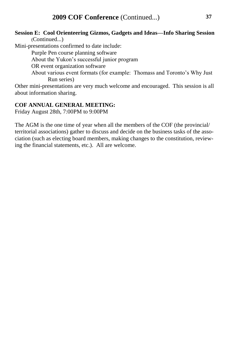**37**

#### **Session E: Cool Orienteering Gizmos, Gadgets and Ideas—Info Sharing Session** (Continued...)

Mini-presentations confirmed to date include:

Purple Pen course planning software

About the Yukon's successful junior program

OR event organization software

About various event formats (for example: Thomass and Toronto's Why Just Run series)

Other mini-presentations are very much welcome and encouraged. This session is all about information sharing.

#### **COF ANNUAL GENERAL MEETING:**

Friday August 28th, 7:00PM to 9:00PM

The AGM is the one time of year when all the members of the COF (the provincial/ territorial associations) gather to discuss and decide on the business tasks of the association (such as electing board members, making changes to the constitution, reviewing the financial statements, etc.). All are welcome.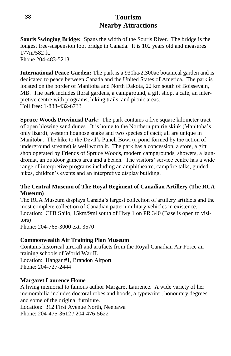#### **Tourism Nearby Attractions**

**Souris Swinging Bridge:** Spans the width of the Souris River. The bridge is the longest free-suspension foot bridge in Canada. It is 102 years old and measures 177m/582 ft.

Phone 204-483-5213

**International Peace Garden:** The park is a 930ha/2,300ac botanical garden and is dedicated to peace between Canada and the United States of America. The park is located on the border of Manitoba and North Dakota, 22 km south of Boissevain, MB. The park includes floral gardens, a campground, a gift shop, a café, an interpretive centre with programs, hiking trails, and picnic areas. Toll free: 1-888-432-6733

**Spruce Woods Provincial Park:** The park contains a five square kilometer tract of open blowing sand dunes. It is home to the Northern prairie skink (Manitoba's only lizard), western hognose snake and two species of cacti; all are unique in Manitoba. The hike to the Devil's Punch Bowl (a pond formed by the action of underground streams) is well worth it. The park has a concession, a store, a gift shop operated by Friends of Spruce Woods, modern campgrounds, showers, a laundromat, an outdoor games area and a beach. The visitors' service centre has a wide range of interpretive programs including an amphitheatre, campfire talks, guided hikes, children's events and an interpretive display building.

#### **The Central Museum of The Royal Regiment of Canadian Artillery (The RCA Museum)**

The RCA Museum displays Canada's largest collection of artillery artifacts and the most complete collection of Canadian pattern military vehicles in existence. Location: CFB Shilo, 15km/9mi south of Hwy 1 on PR 340 (Base is open to visitors) Phone: 204-765-3000 ext. 3570

### **Commonwealth Air Training Plan Museum**

Contains historical aircraft and artifacts from the Royal Canadian Air Force air training schools of World War II.

Location: Hangar #1, Brandon Airport Phone: 204-727-2444

#### **Margaret Laurence Home**

A living memorial to famous author Margaret Laurence. A wide variety of her memorabilia includes doctoral robes and hoods, a typewriter, honourary degrees and some of the original furniture.

Location: 312 First Avenue North, Neepawa Phone: 204-475-3612 / 204-476-5622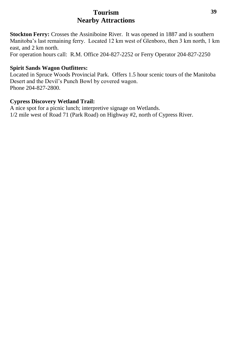#### **Tourism Nearby Attractions**

**Stockton Ferry:** Crosses the Assiniboine River. It was opened in 1887 and is southern Manitoba's last remaining ferry. Located 12 km west of Glenboro, then 3 km north, 1 km east, and 2 km north.

For operation hours call: R.M. Office 204-827-2252 or Ferry Operator 204-827-2250

#### **Spirit Sands Wagon Outfitters:**

Located in Spruce Woods Provincial Park. Offers 1.5 hour scenic tours of the Manitoba Desert and the Devil's Punch Bowl by covered wagon. Phone 204-827-2800.

#### **Cypress Discovery Wetland Trail:**

A nice spot for a picnic lunch; interpretive signage on Wetlands. 1/2 mile west of Road 71 (Park Road) on Highway #2, north of Cypress River.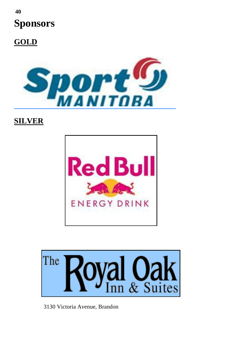## **Sponsors 40**

**GOLD**



### **SILVER**





3130 Victoria Avenue, Brandon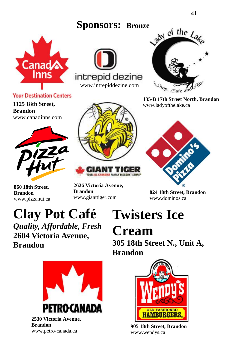**Sponsors: Bronze**



**Your Destination Centers** 

**1125 18th Street, Brandon** www.canadinns.com



**860 18th Street, Brandon** www.pizzahut.ca



[www.intrepiddezine.com](http://www.intrepiddezine.com/)

intrepid dezine



**2626 Victoria Avenue, Brandon** www.gianttiger.com



**135-B 17th Street North, Brandon** www.ladyofthelake.ca



**824 18th Street, Brandon** www.dominos.ca

# **Clay Pot Café**

*Quality, Affordable, Fresh* **2604 Victoria Avenue, Brandon**

# **Twisters Ice**

**Cream 305 18th Street N., Unit A,** 

**Brandon**



**2530 Victoria Avenue, Brandon** www.petro-canada.ca



**905 18th Street, Brandon**  www.wendys.ca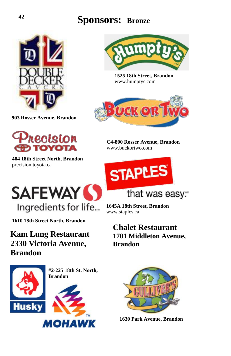### **Sponsors: Bronze <sup>42</sup>**



**903 Rosser Avenue, Brandon**



**404 18th Street North, Brandon** precision.toyota.ca



**1525 18th Street, Brandon** www.humptys.com



**C4-800 Rosser Avenue, Brandon** www.buckortwo.com



**1645A 18th Street, Brandon**

**Chalet Restaurant 1701 Middleton Avenue,** 

that was easy.

www.staples.ca

**Brandon**



**1610 18th Street North, Brandon**

**Kam Lung Restaurant 2330 Victoria Avenue, Brandon**



**#2-225 18th St. North, Brandon**





**1630 Park Avenue, Brandon**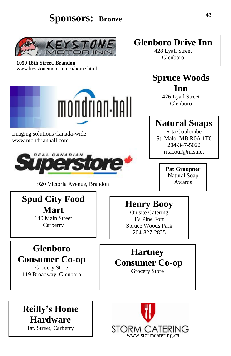### **Sponsors: Bronze**



**1050 18th Street, Brandon** www.keystonemotorinn.ca/home.html



Imaging solutions Canada-wide www.mondrianhall.com



920 Victoria Avenue, Brandon

### **Spud City Food Mart**

140 Main Street Carberry

# **Glenboro**

### **Consumer Co-op**

Grocery Store 119 Broadway, Glenboro

### **Henry Booy**

On site Catering IV Pine Fort Spruce Woods Park 204-827-2825

### **Hartney**

### **Consumer Co-op**

Grocery Store





### **Glenboro Drive Inn**

428 Lyall Street Glenboro

### **Spruce Woods Inn**

426 Lyall Street Glenboro

### **Natural Soaps**

Rita Coulombe St. Malo, MB R0A 1T0 204-347-5022 ritacoul@mts.net

> **Pat Graupner** Natural Soap Awards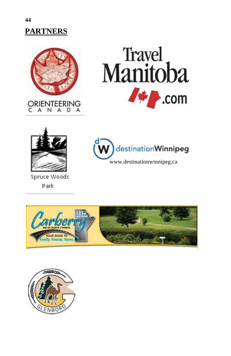## **PARTNERS**







Spruce Woods Park





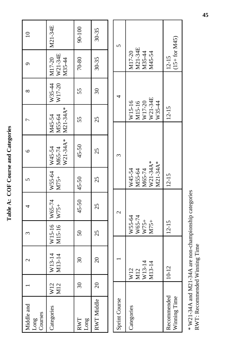| ì<br>١<br>I          |
|----------------------|
|                      |
| i                    |
|                      |
|                      |
|                      |
| $\zeta$              |
|                      |
| $\frac{1}{\epsilon}$ |
|                      |
|                      |
|                      |
|                      |
|                      |
|                      |

| Middle and<br>Long<br>Courses |            | $\mathcal{C}$                  | ξ                                  | 4                 | 5                                                  | $\circ$                      |                                                 | $\infty$         | Ó                                     |         |
|-------------------------------|------------|--------------------------------|------------------------------------|-------------------|----------------------------------------------------|------------------------------|-------------------------------------------------|------------------|---------------------------------------|---------|
| Categories                    | W12<br>M12 | $W13-14$<br>M13-14             | W15-16 W65-74<br>M15-16            | $W75+$            | W55-64<br>M75+                                     | M65-74<br>W21-34A*<br>W45-54 | M21-34A*<br>M55-64<br>M45-54                    | W17-20<br>W35-44 | W21-34E<br>M17-20<br>M35-44           | M21-34E |
| Long<br>RWT                   | $\Im$      | $\Im$                          | $50\,$                             | 45-50             | 45-50                                              | 45-50                        | 55                                              | 55               | 70-80                                 | 90-100  |
| RWT Middle                    | $\Omega$   | $\overline{\mathcal{E}}$       | 25                                 | 25                | 25                                                 | 25                           | 25                                              | $\Im$            | $30 - 35$                             | 30-35   |
|                               |            |                                |                                    |                   |                                                    |                              |                                                 |                  |                                       |         |
| Sprint Course                 |            |                                |                                    | $\mathbf{\Omega}$ |                                                    | ξ                            |                                                 | 4                |                                       | 5       |
| Categories                    |            | W13-14<br>M13-14<br>W12<br>M12 | W55-64<br>W65-74<br>W75+<br>$M75+$ |                   | W21-34A*<br>M21-34A*<br>M65-74<br>W45-54<br>M55-64 |                              | W21-34E<br>W17-20<br>M15-16<br>W15-16<br>W35-44 |                  | M21-34E<br>M17-20<br>M35-44<br>M45-54 |         |
| Recommended<br>Winning Time   |            | $10 - 12$                      | $12 - 15$                          |                   | $12 - 15$                                          |                              | $12 - 15$                                       |                  | $(15 + for M45)$<br>$12 - 15$         |         |

 $*$  W21-34A and M21-34A are non-championship categories RWT: Recommended Winning Time \* W21-34A and M21-34A are non-championship categories RWT: Recommended Winning Time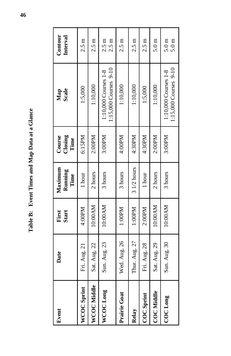Table B: Event Times and Map Data at a Glance **Table B: Event Times and Map Data at a Glance**

| Event              | Date          | First<br>Start | Maximum<br>Running<br>Time | Closing<br>Course<br>Time | Map<br>Scale                                  | Contour<br>Interval                  |
|--------------------|---------------|----------------|----------------------------|---------------------------|-----------------------------------------------|--------------------------------------|
| <b>WCOC Sprint</b> | Fri. Aug. 21  | 4:00PM         | 1 hour                     | 6:15PM                    | 1:5,000                                       | $2.5 \text{ m}$                      |
| WCOC Middle        | Sat. Aug. 22  | 10:00 AM       | 2 hours                    | 2:00PM                    | 1:10,000                                      | $2.5 \text{ m}$                      |
| WCOC Long          | Sun. Aug. 23  | 10:00 AM       | 3 hours                    | 3:00PM                    | 1:15,000 Courses 9-10<br>1:10,000 Courses 1-8 | $2.5 \text{ m}$<br>2.5 <sub>m</sub>  |
| Prairie Goat       | Wed. Aug. 26  | 1:00PM         | 3 hours                    | 4:00PM                    | 1:10,000                                      | $2.5 \text{ m}$                      |
| Relay              | Thur. Aug. 27 | 1:00PM         | $31/2$ hours               | 4:30PM                    | 1:10,000                                      | $2.5 \text{ m}$                      |
| <b>COC</b> Sprint  | Fri. Aug. 28  | 2:00PM         | 1 hour                     | 4:30PM                    | 1:5,000                                       | $2.5 \text{ m}$                      |
| <b>COC Middle</b>  | Sat. Aug. 29  | 10:00 AM       | 2 hours                    | 2:00PM                    | 1:10,000                                      | 5.0 <sub>m</sub>                     |
| <b>COCLong</b>     | Sun. Aug. 30  | 10:00 AM       | 3 hours                    | 3:00PM                    | 1:15,000 Courses 9-10<br>1:10,000 Courses 1-8 | 5.0 <sub>m</sub><br>5.0 <sub>m</sub> |